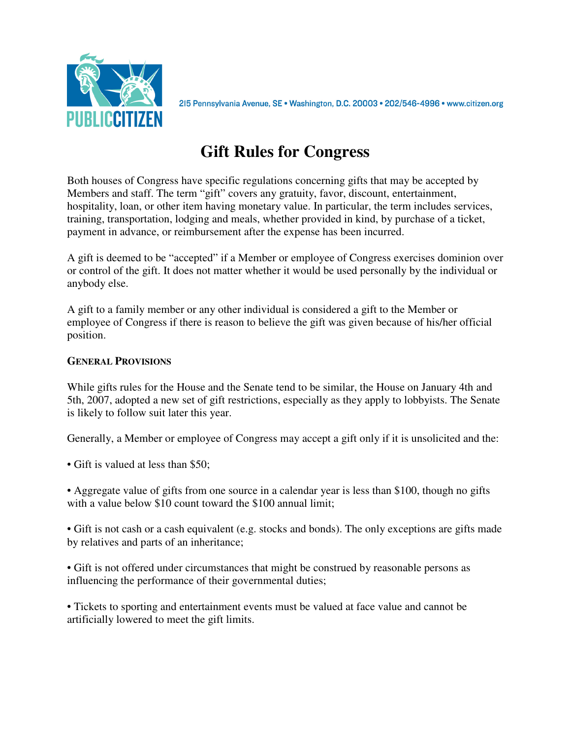

215 Pennsylvania Avenue, SE · Washington, D.C. 20003 · 202/546-4996 · www.citizen.org

# **Gift Rules for Congress**

Both houses of Congress have specific regulations concerning gifts that may be accepted by Members and staff. The term "gift" covers any gratuity, favor, discount, entertainment, hospitality, loan, or other item having monetary value. In particular, the term includes services, training, transportation, lodging and meals, whether provided in kind, by purchase of a ticket, payment in advance, or reimbursement after the expense has been incurred.

A gift is deemed to be "accepted" if a Member or employee of Congress exercises dominion over or control of the gift. It does not matter whether it would be used personally by the individual or anybody else.

A gift to a family member or any other individual is considered a gift to the Member or employee of Congress if there is reason to believe the gift was given because of his/her official position.

# **GENERAL PROVISIONS**

While gifts rules for the House and the Senate tend to be similar, the House on January 4th and 5th, 2007, adopted a new set of gift restrictions, especially as they apply to lobbyists. The Senate is likely to follow suit later this year.

Generally, a Member or employee of Congress may accept a gift only if it is unsolicited and the:

• Gift is valued at less than \$50:

• Aggregate value of gifts from one source in a calendar year is less than \$100, though no gifts with a value below \$10 count toward the \$100 annual limit;

• Gift is not cash or a cash equivalent (e.g. stocks and bonds). The only exceptions are gifts made by relatives and parts of an inheritance;

• Gift is not offered under circumstances that might be construed by reasonable persons as influencing the performance of their governmental duties;

• Tickets to sporting and entertainment events must be valued at face value and cannot be artificially lowered to meet the gift limits.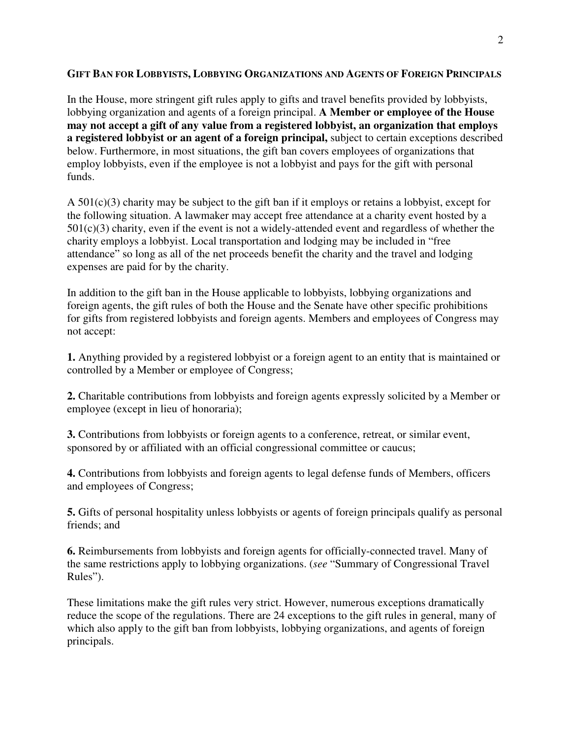## **GIFT BAN FOR LOBBYISTS, LOBBYING ORGANIZATIONS AND AGENTS OF FOREIGN PRINCIPALS**

In the House, more stringent gift rules apply to gifts and travel benefits provided by lobbyists, lobbying organization and agents of a foreign principal. **A Member or employee of the House may not accept a gift of any value from a registered lobbyist, an organization that employs a registered lobbyist or an agent of a foreign principal,** subject to certain exceptions described below. Furthermore, in most situations, the gift ban covers employees of organizations that employ lobbyists, even if the employee is not a lobbyist and pays for the gift with personal funds.

A 501(c)(3) charity may be subject to the gift ban if it employs or retains a lobbyist, except for the following situation. A lawmaker may accept free attendance at a charity event hosted by a  $501(c)(3)$  charity, even if the event is not a widely-attended event and regardless of whether the charity employs a lobbyist. Local transportation and lodging may be included in "free attendance" so long as all of the net proceeds benefit the charity and the travel and lodging expenses are paid for by the charity.

In addition to the gift ban in the House applicable to lobbyists, lobbying organizations and foreign agents, the gift rules of both the House and the Senate have other specific prohibitions for gifts from registered lobbyists and foreign agents. Members and employees of Congress may not accept:

**1.** Anything provided by a registered lobbyist or a foreign agent to an entity that is maintained or controlled by a Member or employee of Congress;

**2.** Charitable contributions from lobbyists and foreign agents expressly solicited by a Member or employee (except in lieu of honoraria);

**3.** Contributions from lobbyists or foreign agents to a conference, retreat, or similar event, sponsored by or affiliated with an official congressional committee or caucus;

**4.** Contributions from lobbyists and foreign agents to legal defense funds of Members, officers and employees of Congress;

**5.** Gifts of personal hospitality unless lobbyists or agents of foreign principals qualify as personal friends; and

**6.** Reimbursements from lobbyists and foreign agents for officially-connected travel. Many of the same restrictions apply to lobbying organizations. (*see* "Summary of Congressional Travel Rules").

These limitations make the gift rules very strict. However, numerous exceptions dramatically reduce the scope of the regulations. There are 24 exceptions to the gift rules in general, many of which also apply to the gift ban from lobbyists, lobbying organizations, and agents of foreign principals.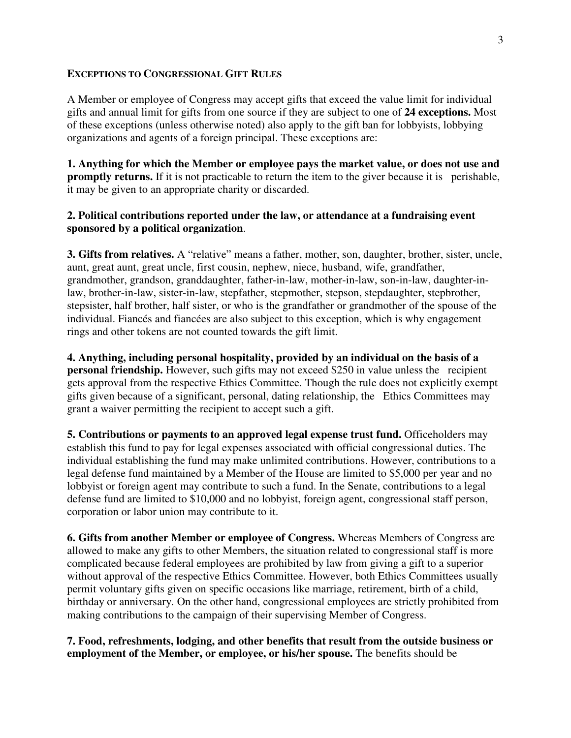#### **EXCEPTIONS TO CONGRESSIONAL GIFT RULES**

A Member or employee of Congress may accept gifts that exceed the value limit for individual gifts and annual limit for gifts from one source if they are subject to one of **24 exceptions.** Most of these exceptions (unless otherwise noted) also apply to the gift ban for lobbyists, lobbying organizations and agents of a foreign principal. These exceptions are:

**1. Anything for which the Member or employee pays the market value, or does not use and promptly returns.** If it is not practicable to return the item to the giver because it is perishable, it may be given to an appropriate charity or discarded.

## **2. Political contributions reported under the law, or attendance at a fundraising event sponsored by a political organization**.

**3. Gifts from relatives.** A "relative" means a father, mother, son, daughter, brother, sister, uncle, aunt, great aunt, great uncle, first cousin, nephew, niece, husband, wife, grandfather, grandmother, grandson, granddaughter, father-in-law, mother-in-law, son-in-law, daughter-inlaw, brother-in-law, sister-in-law, stepfather, stepmother, stepson, stepdaughter, stepbrother, stepsister, half brother, half sister, or who is the grandfather or grandmother of the spouse of the individual. Fiancés and fiancées are also subject to this exception, which is why engagement rings and other tokens are not counted towards the gift limit.

**4. Anything, including personal hospitality, provided by an individual on the basis of a personal friendship.** However, such gifts may not exceed \$250 in value unless the recipient gets approval from the respective Ethics Committee. Though the rule does not explicitly exempt gifts given because of a significant, personal, dating relationship, the Ethics Committees may grant a waiver permitting the recipient to accept such a gift.

**5. Contributions or payments to an approved legal expense trust fund.** Officeholders may establish this fund to pay for legal expenses associated with official congressional duties. The individual establishing the fund may make unlimited contributions. However, contributions to a legal defense fund maintained by a Member of the House are limited to \$5,000 per year and no lobbyist or foreign agent may contribute to such a fund. In the Senate, contributions to a legal defense fund are limited to \$10,000 and no lobbyist, foreign agent, congressional staff person, corporation or labor union may contribute to it.

**6. Gifts from another Member or employee of Congress.** Whereas Members of Congress are allowed to make any gifts to other Members, the situation related to congressional staff is more complicated because federal employees are prohibited by law from giving a gift to a superior without approval of the respective Ethics Committee. However, both Ethics Committees usually permit voluntary gifts given on specific occasions like marriage, retirement, birth of a child, birthday or anniversary. On the other hand, congressional employees are strictly prohibited from making contributions to the campaign of their supervising Member of Congress.

**7. Food, refreshments, lodging, and other benefits that result from the outside business or employment of the Member, or employee, or his/her spouse.** The benefits should be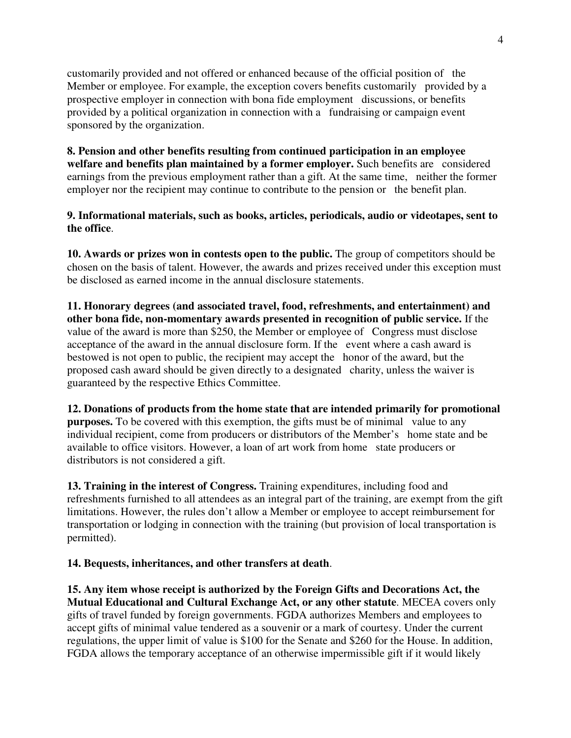customarily provided and not offered or enhanced because of the official position of the Member or employee. For example, the exception covers benefits customarily provided by a prospective employer in connection with bona fide employment discussions, or benefits provided by a political organization in connection with a fundraising or campaign event sponsored by the organization.

**8. Pension and other benefits resulting from continued participation in an employee welfare and benefits plan maintained by a former employer.** Such benefits are considered earnings from the previous employment rather than a gift. At the same time, neither the former employer nor the recipient may continue to contribute to the pension or the benefit plan.

**9. Informational materials, such as books, articles, periodicals, audio or videotapes, sent to the office**.

**10. Awards or prizes won in contests open to the public.** The group of competitors should be chosen on the basis of talent. However, the awards and prizes received under this exception must be disclosed as earned income in the annual disclosure statements.

**11. Honorary degrees (and associated travel, food, refreshments, and entertainment) and other bona fide, non-momentary awards presented in recognition of public service.** If the value of the award is more than \$250, the Member or employee of Congress must disclose acceptance of the award in the annual disclosure form. If the event where a cash award is bestowed is not open to public, the recipient may accept the honor of the award, but the proposed cash award should be given directly to a designated charity, unless the waiver is guaranteed by the respective Ethics Committee.

**12. Donations of products from the home state that are intended primarily for promotional purposes.** To be covered with this exemption, the gifts must be of minimal value to any individual recipient, come from producers or distributors of the Member's home state and be available to office visitors. However, a loan of art work from home state producers or distributors is not considered a gift.

**13. Training in the interest of Congress.** Training expenditures, including food and refreshments furnished to all attendees as an integral part of the training, are exempt from the gift limitations. However, the rules don't allow a Member or employee to accept reimbursement for transportation or lodging in connection with the training (but provision of local transportation is permitted).

## **14. Bequests, inheritances, and other transfers at death**.

**15. Any item whose receipt is authorized by the Foreign Gifts and Decorations Act, the Mutual Educational and Cultural Exchange Act, or any other statute**. MECEA covers only gifts of travel funded by foreign governments. FGDA authorizes Members and employees to accept gifts of minimal value tendered as a souvenir or a mark of courtesy. Under the current regulations, the upper limit of value is \$100 for the Senate and \$260 for the House. In addition, FGDA allows the temporary acceptance of an otherwise impermissible gift if it would likely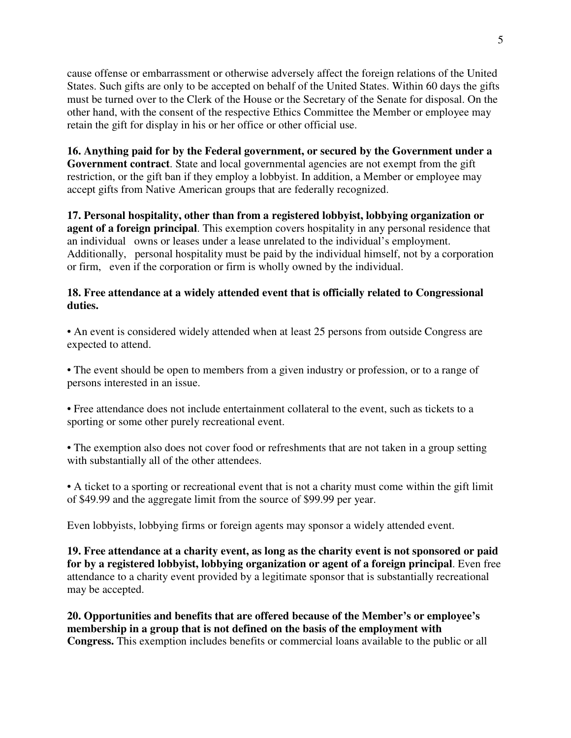cause offense or embarrassment or otherwise adversely affect the foreign relations of the United States. Such gifts are only to be accepted on behalf of the United States. Within 60 days the gifts must be turned over to the Clerk of the House or the Secretary of the Senate for disposal. On the other hand, with the consent of the respective Ethics Committee the Member or employee may retain the gift for display in his or her office or other official use.

**16. Anything paid for by the Federal government, or secured by the Government under a Government contract**. State and local governmental agencies are not exempt from the gift restriction, or the gift ban if they employ a lobbyist. In addition, a Member or employee may accept gifts from Native American groups that are federally recognized.

**17. Personal hospitality, other than from a registered lobbyist, lobbying organization or agent of a foreign principal**. This exemption covers hospitality in any personal residence that an individual owns or leases under a lease unrelated to the individual's employment. Additionally, personal hospitality must be paid by the individual himself, not by a corporation or firm, even if the corporation or firm is wholly owned by the individual.

# **18. Free attendance at a widely attended event that is officially related to Congressional duties.**

• An event is considered widely attended when at least 25 persons from outside Congress are expected to attend.

• The event should be open to members from a given industry or profession, or to a range of persons interested in an issue.

• Free attendance does not include entertainment collateral to the event, such as tickets to a sporting or some other purely recreational event.

• The exemption also does not cover food or refreshments that are not taken in a group setting with substantially all of the other attendees.

• A ticket to a sporting or recreational event that is not a charity must come within the gift limit of \$49.99 and the aggregate limit from the source of \$99.99 per year.

Even lobbyists, lobbying firms or foreign agents may sponsor a widely attended event.

**19. Free attendance at a charity event, as long as the charity event is not sponsored or paid for by a registered lobbyist, lobbying organization or agent of a foreign principal**. Even free attendance to a charity event provided by a legitimate sponsor that is substantially recreational may be accepted.

**20. Opportunities and benefits that are offered because of the Member's or employee's membership in a group that is not defined on the basis of the employment with Congress.** This exemption includes benefits or commercial loans available to the public or all